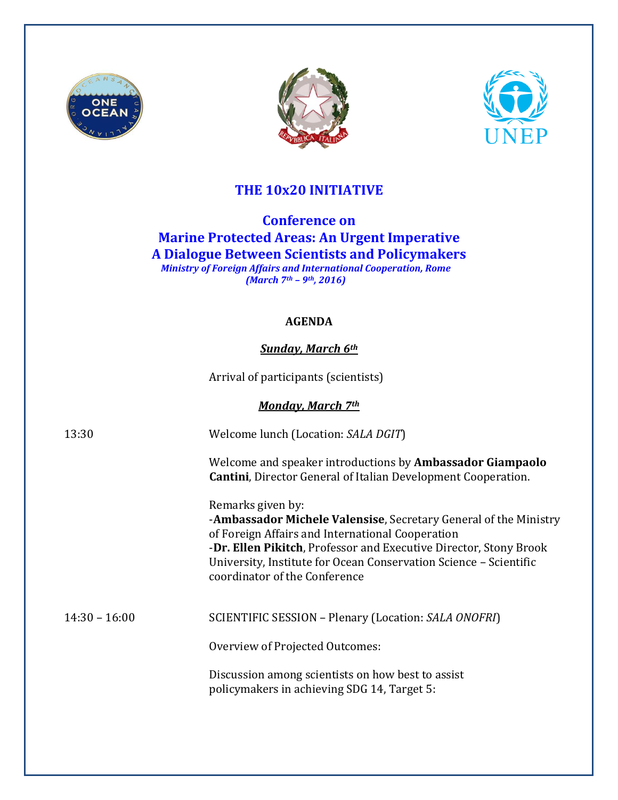





## **THE 10x20 INITIATIVE**

**Conference on Marine Protected Areas: An Urgent Imperative A Dialogue Between Scientists and Policymakers**  *Ministry of Foreign Affairs and International Cooperation, Rome (March 7th – 9th, 2016)*

#### **AGENDA**

### *Sunday, March 6th*

Arrival of participants (scientists)

*Monday, March 7th*

13:30 Welcome lunch (Location: *SALA DGIT*) Welcome and speaker introductions by **Ambassador Giampaolo Cantini**, Director General of Italian Development Cooperation. Remarks given by: -**Ambassador Michele Valensise**, Secretary General of the Ministry of Foreign Affairs and International Cooperation -**Dr. Ellen Pikitch**, Professor and Executive Director, Stony Brook University, Institute for Ocean Conservation Science – Scientific coordinator of the Conference 14:30 – 16:00 SCIENTIFIC SESSION – Plenary (Location: *SALA ONOFRI*) Overview of Projected Outcomes: Discussion among scientists on how best to assist policymakers in achieving SDG 14, Target 5: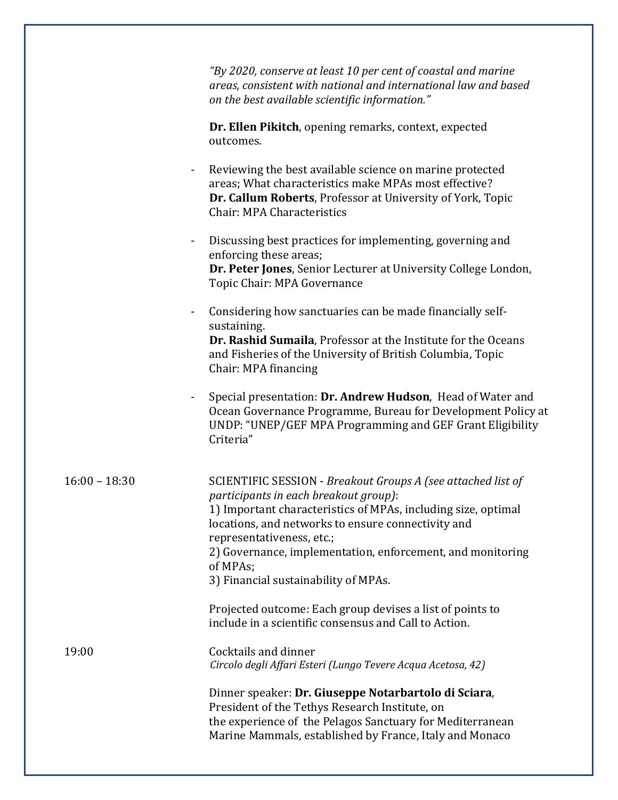|                | "By 2020, conserve at least 10 per cent of coastal and marine<br>areas, consistent with national and international law and based<br>on the best available scientific information."                            |
|----------------|---------------------------------------------------------------------------------------------------------------------------------------------------------------------------------------------------------------|
|                | Dr. Ellen Pikitch, opening remarks, context, expected<br>outcomes.                                                                                                                                            |
| $\blacksquare$ | Reviewing the best available science on marine protected<br>areas; What characteristics make MPAs most effective?<br>Dr. Callum Roberts, Professor at University of York, Topic<br>Chair: MPA Characteristics |
| ٠              | Discussing best practices for implementing, governing and<br>enforcing these areas;<br>Dr. Peter Jones, Senior Lecturer at University College London,<br>Topic Chair: MPA Governance                          |
|                |                                                                                                                                                                                                               |

- Considering how sanctuaries can be made financially selfsustaining. **Dr. Rashid Sumaila**, Professor at the Institute for the Oceans and Fisheries of the University of British Columbia, Topic Chair: MPA financing

- Special presentation: **Dr. Andrew Hudson**, Head of Water and Ocean Governance Programme, Bureau for Development Policy at UNDP: "UNEP/GEF MPA Programming and GEF Grant Eligibility Criteria"

| $16:00 - 18:30$ | SCIENTIFIC SESSION - Breakout Groups A (see attached list of<br>participants in each breakout group):<br>1) Important characteristics of MPAs, including size, optimal<br>locations, and networks to ensure connectivity and<br>representativeness, etc.;<br>2) Governance, implementation, enforcement, and monitoring<br>of MPAs;<br>3) Financial sustainability of MPAs. |
|-----------------|-----------------------------------------------------------------------------------------------------------------------------------------------------------------------------------------------------------------------------------------------------------------------------------------------------------------------------------------------------------------------------|
|                 | Projected outcome: Each group devises a list of points to<br>include in a scientific consensus and Call to Action.                                                                                                                                                                                                                                                          |
| 19:00           | Cocktails and dinner<br>Circolo degli Affari Esteri (Lungo Tevere Acqua Acetosa, 42)                                                                                                                                                                                                                                                                                        |
|                 | Dinner speaker: Dr. Giuseppe Notarbartolo di Sciara,<br>President of the Tethys Research Institute, on<br>the experience of the Pelagos Sanctuary for Mediterranean<br>Marine Mammals, established by France, Italy and Monaco                                                                                                                                              |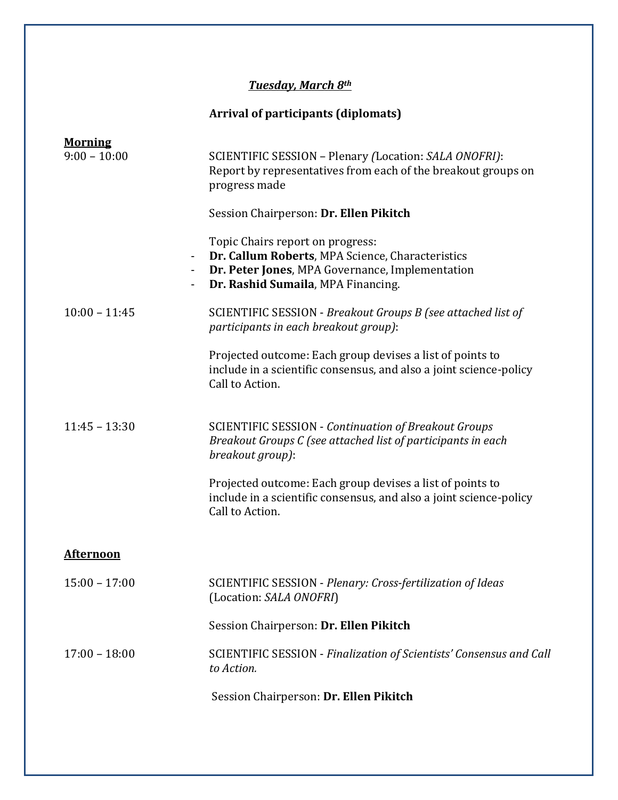## *Tuesday, March 8th*

# **Arrival of participants (diplomats)**

| <b>Morning</b><br>$9:00 - 10:00$<br>$\blacksquare$<br>$\blacksquare$ | SCIENTIFIC SESSION - Plenary (Location: SALA ONOFRI):<br>Report by representatives from each of the breakout groups on<br>progress made<br>Session Chairperson: Dr. Ellen Pikitch<br>Topic Chairs report on progress:<br>Dr. Callum Roberts, MPA Science, Characteristics<br>Dr. Peter Jones, MPA Governance, Implementation<br>Dr. Rashid Sumaila, MPA Financing. |
|----------------------------------------------------------------------|--------------------------------------------------------------------------------------------------------------------------------------------------------------------------------------------------------------------------------------------------------------------------------------------------------------------------------------------------------------------|
| $10:00 - 11:45$                                                      | SCIENTIFIC SESSION - Breakout Groups B (see attached list of<br>participants in each breakout group):<br>Projected outcome: Each group devises a list of points to                                                                                                                                                                                                 |
|                                                                      | include in a scientific consensus, and also a joint science-policy<br>Call to Action.                                                                                                                                                                                                                                                                              |
| $11:45 - 13:30$                                                      | <b>SCIENTIFIC SESSION - Continuation of Breakout Groups</b><br>Breakout Groups C (see attached list of participants in each<br>breakout group):                                                                                                                                                                                                                    |
|                                                                      | Projected outcome: Each group devises a list of points to<br>include in a scientific consensus, and also a joint science-policy<br>Call to Action.                                                                                                                                                                                                                 |
| <u>Afternoon</u>                                                     |                                                                                                                                                                                                                                                                                                                                                                    |
| $15:00 - 17:00$                                                      | SCIENTIFIC SESSION - Plenary: Cross-fertilization of Ideas<br>(Location: SALA ONOFRI)                                                                                                                                                                                                                                                                              |
|                                                                      | Session Chairperson: Dr. Ellen Pikitch                                                                                                                                                                                                                                                                                                                             |
| $17:00 - 18:00$                                                      | SCIENTIFIC SESSION - Finalization of Scientists' Consensus and Call<br>to Action.                                                                                                                                                                                                                                                                                  |
|                                                                      | Session Chairperson: Dr. Ellen Pikitch                                                                                                                                                                                                                                                                                                                             |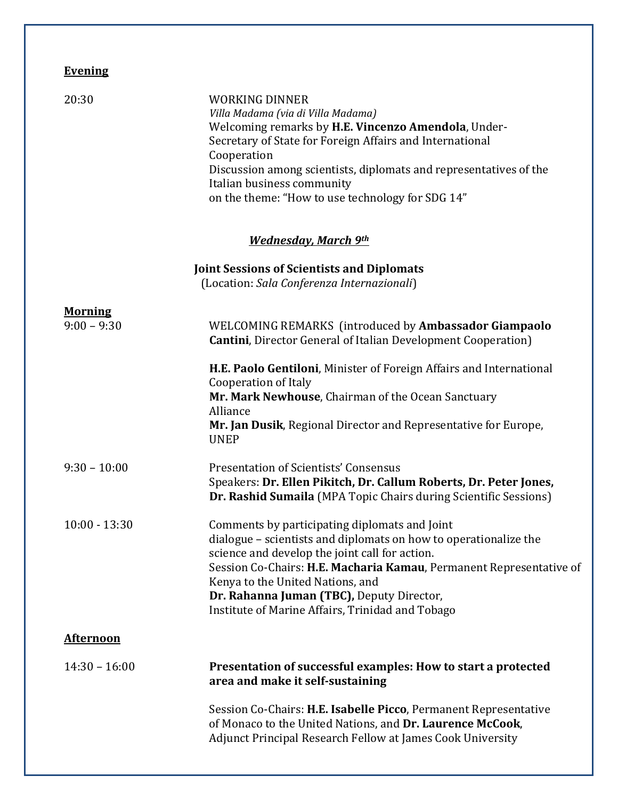## **Evening**

| 20:30                           | <b>WORKING DINNER</b><br>Villa Madama (via di Villa Madama)<br>Welcoming remarks by H.E. Vincenzo Amendola, Under-<br>Secretary of State for Foreign Affairs and International<br>Cooperation<br>Discussion among scientists, diplomats and representatives of the<br>Italian business community                                                                                |
|---------------------------------|---------------------------------------------------------------------------------------------------------------------------------------------------------------------------------------------------------------------------------------------------------------------------------------------------------------------------------------------------------------------------------|
|                                 | on the theme: "How to use technology for SDG 14"                                                                                                                                                                                                                                                                                                                                |
|                                 | <b>Wednesday, March 9th</b>                                                                                                                                                                                                                                                                                                                                                     |
|                                 | <b>Joint Sessions of Scientists and Diplomats</b><br>(Location: Sala Conferenza Internazionali)                                                                                                                                                                                                                                                                                 |
| <b>Morning</b><br>$9:00 - 9:30$ | WELCOMING REMARKS (introduced by Ambassador Giampaolo<br><b>Cantini</b> , Director General of Italian Development Cooperation)                                                                                                                                                                                                                                                  |
|                                 | H.E. Paolo Gentiloni, Minister of Foreign Affairs and International<br>Cooperation of Italy<br>Mr. Mark Newhouse, Chairman of the Ocean Sanctuary<br>Alliance<br>Mr. Jan Dusik, Regional Director and Representative for Europe,<br><b>UNEP</b>                                                                                                                                 |
| $9:30 - 10:00$                  | <b>Presentation of Scientists' Consensus</b><br>Speakers: Dr. Ellen Pikitch, Dr. Callum Roberts, Dr. Peter Jones,<br>Dr. Rashid Sumaila (MPA Topic Chairs during Scientific Sessions)                                                                                                                                                                                           |
| $10:00 - 13:30$                 | Comments by participating diplomats and Joint<br>dialogue – scientists and diplomats on how to operationalize the<br>science and develop the joint call for action.<br>Session Co-Chairs: H.E. Macharia Kamau, Permanent Representative of<br>Kenya to the United Nations, and<br>Dr. Rahanna Juman (TBC), Deputy Director,<br>Institute of Marine Affairs, Trinidad and Tobago |
| <b>Afternoon</b>                |                                                                                                                                                                                                                                                                                                                                                                                 |
| $14:30 - 16:00$                 | Presentation of successful examples: How to start a protected<br>area and make it self-sustaining                                                                                                                                                                                                                                                                               |
|                                 | Session Co-Chairs: H.E. Isabelle Picco, Permanent Representative<br>of Monaco to the United Nations, and Dr. Laurence McCook,<br>Adjunct Principal Research Fellow at James Cook University                                                                                                                                                                                     |